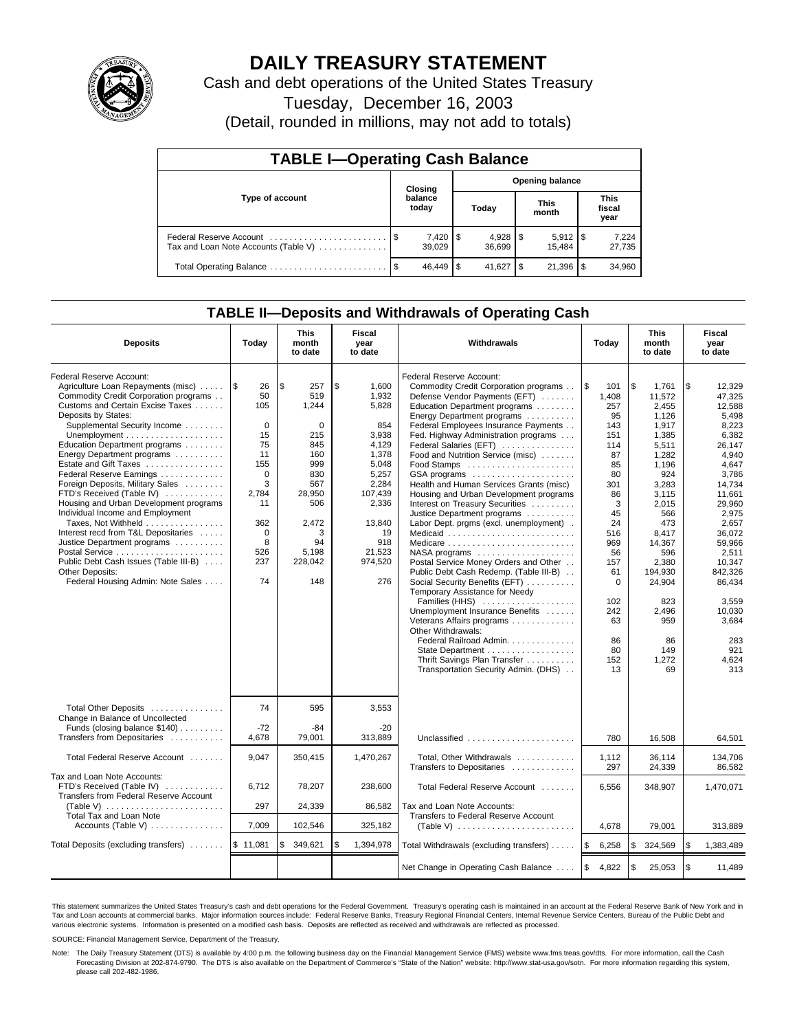

# **DAILY TREASURY STATEMENT**

Cash and debt operations of the United States Treasury

Tuesday, December 16, 2003

(Detail, rounded in millions, may not add to totals)

| <b>TABLE I-Operating Cash Balance</b>                           |         |                        |    |                        |     |                       |  |                               |  |  |
|-----------------------------------------------------------------|---------|------------------------|----|------------------------|-----|-----------------------|--|-------------------------------|--|--|
|                                                                 | Closing |                        |    | <b>Opening balance</b> |     |                       |  |                               |  |  |
| Type of account                                                 |         | balance<br>today       |    | Today                  |     | <b>This</b><br>month  |  | <b>This</b><br>fiscal<br>year |  |  |
| Federal Reserve Account<br>Tax and Loan Note Accounts (Table V) |         | $7,420$   \$<br>39.029 |    | 36.699                 |     | $5,912$ \\$<br>15.484 |  | 7,224<br>27,735               |  |  |
| Total Operating Balance                                         | - \$    | 46.449                 | £. | 41.627                 | -\$ | 21,396                |  | 34,960                        |  |  |

## **TABLE II—Deposits and Withdrawals of Operating Cash**

| <b>Deposits</b>                                                                                                                                                                                                                                                                                                                                                                                                                                                                                                                                                                                                                                                     | Today                                                                                                                                         | <b>This</b><br>month<br>to date                                                                                                                   | Fiscal<br>year<br>to date                                                                                                                                         | Withdrawals                                                                                                                                                                                                                                                                                                                                                                                                                                                                                                                                                                                                                                                                                                                                                                                                                                                                                                                                           | Today                                                                                                                                                                                           | <b>This</b><br>month<br>to date                                                                                                                                                                                                                 | Fiscal<br>year<br>to date                                                                                                                                                                                                                                              |
|---------------------------------------------------------------------------------------------------------------------------------------------------------------------------------------------------------------------------------------------------------------------------------------------------------------------------------------------------------------------------------------------------------------------------------------------------------------------------------------------------------------------------------------------------------------------------------------------------------------------------------------------------------------------|-----------------------------------------------------------------------------------------------------------------------------------------------|---------------------------------------------------------------------------------------------------------------------------------------------------|-------------------------------------------------------------------------------------------------------------------------------------------------------------------|-------------------------------------------------------------------------------------------------------------------------------------------------------------------------------------------------------------------------------------------------------------------------------------------------------------------------------------------------------------------------------------------------------------------------------------------------------------------------------------------------------------------------------------------------------------------------------------------------------------------------------------------------------------------------------------------------------------------------------------------------------------------------------------------------------------------------------------------------------------------------------------------------------------------------------------------------------|-------------------------------------------------------------------------------------------------------------------------------------------------------------------------------------------------|-------------------------------------------------------------------------------------------------------------------------------------------------------------------------------------------------------------------------------------------------|------------------------------------------------------------------------------------------------------------------------------------------------------------------------------------------------------------------------------------------------------------------------|
| Federal Reserve Account:<br>Agriculture Loan Repayments (misc)<br>Commodity Credit Corporation programs<br>Customs and Certain Excise Taxes<br>Deposits by States:<br>Supplemental Security Income<br>Education Department programs<br>Energy Department programs<br>Estate and Gift Taxes<br>Federal Reserve Earnings<br>Foreign Deposits, Military Sales<br>FTD's Received (Table IV)<br>Housing and Urban Development programs<br>Individual Income and Employment<br>Taxes, Not Withheld<br>Interest recd from T&L Depositaries<br>Justice Department programs<br>Public Debt Cash Issues (Table III-B)<br>Other Deposits:<br>Federal Housing Admin: Note Sales | 1\$<br>26<br>50<br>105<br>$\Omega$<br>15<br>75<br>11<br>155<br>$\mathbf 0$<br>3<br>2.784<br>11<br>362<br>$\mathbf 0$<br>8<br>526<br>237<br>74 | l \$<br>257<br>519<br>1,244<br>$\Omega$<br>215<br>845<br>160<br>999<br>830<br>567<br>28,950<br>506<br>2,472<br>3<br>94<br>5,198<br>228,042<br>148 | \$<br>1,600<br>1,932<br>5,828<br>854<br>3,938<br>4,129<br>1,378<br>5,048<br>5,257<br>2.284<br>107.439<br>2,336<br>13,840<br>19<br>918<br>21,523<br>974.520<br>276 | Federal Reserve Account:<br>Commodity Credit Corporation programs<br>Defense Vendor Payments (EFT)<br>Education Department programs<br>Energy Department programs<br>Federal Employees Insurance Payments<br>Fed. Highway Administration programs<br>Federal Salaries (EFT)<br>Food and Nutrition Service (misc)<br>GSA programs<br>Health and Human Services Grants (misc)<br>Housing and Urban Development programs<br>Interest on Treasury Securities<br>Justice Department programs<br>Labor Dept. prgms (excl. unemployment).<br>Medicaid<br>NASA programs<br>Postal Service Money Orders and Other<br>Public Debt Cash Redemp. (Table III-B)<br>Social Security Benefits (EFT)<br>Temporary Assistance for Needy<br>Families (HHS)<br>Unemployment Insurance Benefits<br>Veterans Affairs programs<br>Other Withdrawals:<br>Federal Railroad Admin.<br>State Department<br>Thrift Savings Plan Transfer<br>Transportation Security Admin. (DHS) | l\$<br>101<br>1,408<br>257<br>95<br>143<br>151<br>114<br>87<br>85<br>80<br>301<br>86<br>3<br>45<br>24<br>516<br>969<br>56<br>157<br>61<br>$\Omega$<br>102<br>242<br>63<br>86<br>80<br>152<br>13 | \$<br>1,761<br>11,572<br>2.455<br>1.126<br>1,917<br>1,385<br>5,511<br>1,282<br>1,196<br>924<br>3.283<br>3.115<br>2,015<br>566<br>473<br>8,417<br>14,367<br>596<br>2,380<br>194,930<br>24,904<br>823<br>2,496<br>959<br>86<br>149<br>1.272<br>69 | \$<br>12,329<br>47,325<br>12.588<br>5.498<br>8,223<br>6,382<br>26.147<br>4,940<br>4.647<br>3,786<br>14.734<br>11.661<br>29,960<br>2,975<br>2.657<br>36,072<br>59,966<br>2,511<br>10.347<br>842.326<br>86,434<br>3,559<br>10,030<br>3,684<br>283<br>921<br>4.624<br>313 |
| Total Other Deposits<br>Change in Balance of Uncollected<br>Funds (closing balance \$140)<br>Transfers from Depositaries                                                                                                                                                                                                                                                                                                                                                                                                                                                                                                                                            | 74<br>$-72$<br>4.678                                                                                                                          | 595<br>$-84$<br>79,001                                                                                                                            | 3,553<br>-20<br>313.889                                                                                                                                           | Unclassified                                                                                                                                                                                                                                                                                                                                                                                                                                                                                                                                                                                                                                                                                                                                                                                                                                                                                                                                          | 780                                                                                                                                                                                             | 16.508                                                                                                                                                                                                                                          | 64,501                                                                                                                                                                                                                                                                 |
| Total Federal Reserve Account                                                                                                                                                                                                                                                                                                                                                                                                                                                                                                                                                                                                                                       | 9,047                                                                                                                                         | 350,415                                                                                                                                           | 1,470,267                                                                                                                                                         | Total, Other Withdrawals<br>Transfers to Depositaries                                                                                                                                                                                                                                                                                                                                                                                                                                                                                                                                                                                                                                                                                                                                                                                                                                                                                                 | 1,112<br>297                                                                                                                                                                                    | 36,114<br>24,339                                                                                                                                                                                                                                | 134,706<br>86.582                                                                                                                                                                                                                                                      |
| Tax and Loan Note Accounts:<br>FTD's Received (Table IV)<br>Transfers from Federal Reserve Account<br>(Table V) $\ldots \ldots \ldots \ldots \ldots \ldots$<br>Total Tax and Loan Note                                                                                                                                                                                                                                                                                                                                                                                                                                                                              | 6,712<br>297                                                                                                                                  | 78,207<br>24,339                                                                                                                                  | 238,600<br>86,582                                                                                                                                                 | Total Federal Reserve Account<br>Tax and Loan Note Accounts:<br>Transfers to Federal Reserve Account                                                                                                                                                                                                                                                                                                                                                                                                                                                                                                                                                                                                                                                                                                                                                                                                                                                  | 6.556                                                                                                                                                                                           | 348,907                                                                                                                                                                                                                                         | 1,470,071                                                                                                                                                                                                                                                              |
| Accounts (Table V)                                                                                                                                                                                                                                                                                                                                                                                                                                                                                                                                                                                                                                                  | 7,009                                                                                                                                         | 102,546                                                                                                                                           | 325,182                                                                                                                                                           | (Table V) $\ldots \ldots \ldots \ldots \ldots \ldots \ldots$                                                                                                                                                                                                                                                                                                                                                                                                                                                                                                                                                                                                                                                                                                                                                                                                                                                                                          | 4,678                                                                                                                                                                                           | 79,001                                                                                                                                                                                                                                          | 313,889                                                                                                                                                                                                                                                                |
| Total Deposits (excluding transfers)                                                                                                                                                                                                                                                                                                                                                                                                                                                                                                                                                                                                                                | \$11,081                                                                                                                                      | 349,621<br>\$                                                                                                                                     | \$<br>1,394,978                                                                                                                                                   | Total Withdrawals (excluding transfers)                                                                                                                                                                                                                                                                                                                                                                                                                                                                                                                                                                                                                                                                                                                                                                                                                                                                                                               | <b>S</b><br>6,258                                                                                                                                                                               | \$<br>324,569                                                                                                                                                                                                                                   | <b>S</b><br>1,383,489                                                                                                                                                                                                                                                  |
|                                                                                                                                                                                                                                                                                                                                                                                                                                                                                                                                                                                                                                                                     |                                                                                                                                               |                                                                                                                                                   |                                                                                                                                                                   | Net Change in Operating Cash Balance                                                                                                                                                                                                                                                                                                                                                                                                                                                                                                                                                                                                                                                                                                                                                                                                                                                                                                                  | <b>S</b><br>4,822                                                                                                                                                                               | \$<br>25,053                                                                                                                                                                                                                                    | $\mathfrak{s}$<br>11,489                                                                                                                                                                                                                                               |

This statement summarizes the United States Treasury's cash and debt operations for the Federal Government. Treasury's operating cash is maintained in an account at the Federal Reserve Bank of New York and in Tax and Loan accounts at commercial banks. Major information sources include: Federal Reserve Banks, Treasury Regional Financial Centers, Internal Revenue Service Centers, Bureau of the Public Debt and<br>various electronic s

SOURCE: Financial Management Service, Department of the Treasury.

Note: The Daily Treasury Statement (DTS) is available by 4:00 p.m. the following business day on the Financial Management Service (FMS) website www.fms.treas.gov/dts. For more information, call the Cash Forecasting Division at 202-874-9790. The DTS is also available on the Department of Commerce's "State of the Nation" website: http://www.stat-usa.gov/sotn. For more information regarding this system, please call 202-482-1986.